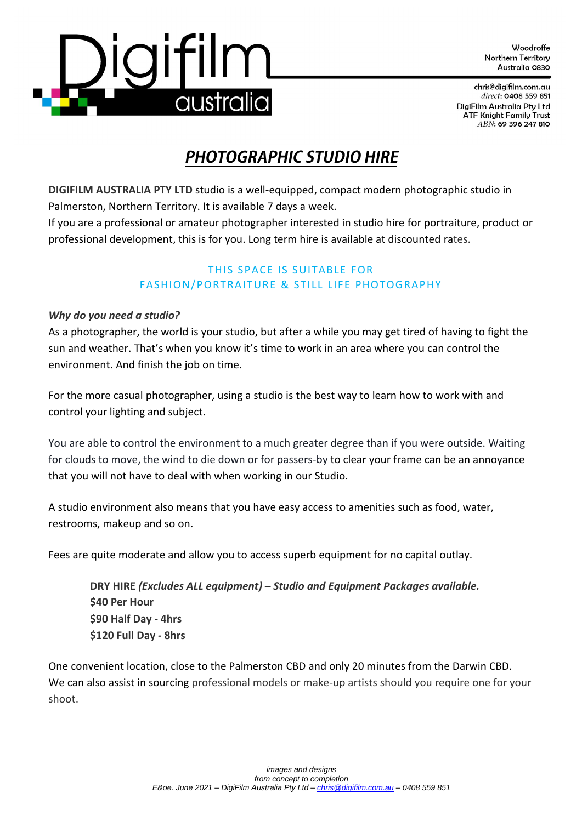Woodroffe Northern Territory Australia 0830

chris@digifilm.com.au direct: 0408 559 851 DigiFilm Australia Pty Ltd **ATF Knight Family Trust** ABN: 69 396 247 810

# **PHOTOGRAPHIC STUDIO HIRE**

**DIGIFILM AUSTRALIA PTY LTD** studio is a well-equipped, compact modern photographic studio in Palmerston, Northern Territory. It is available 7 days a week.

If you are a professional or amateur photographer interested in studio hire for portraiture, product or professional development, this is for you. Long term hire is available at discounted rates.

# THIS SPACE IS SUITABLE FOR FASHION/PORTRAITURE & STILL LIFE PHOTOGRAPHY

# *Why do you need a studio?*

As a photographer, the world is your studio, but after a while you may get tired of having to fight the sun and weather. That's when you know it's time to work in an area where you can control the environment. And finish the job on time.

For the more casual photographer, using a studio is the best way to learn how to work with and control your lighting and subject.

You are able to control the environment to a much greater degree than if you were outside. Waiting for clouds to move, the wind to die down or for passers-by to clear your frame can be an annoyance that you will not have to deal with when working in our Studio.

A studio environment also means that you have easy access to amenities such as food, water, restrooms, makeup and so on.

Fees are quite moderate and allow you to access superb equipment for no capital outlay.

**DRY HIRE** *(Excludes ALL equipment) – Studio and Equipment Packages available.* **\$40 Per Hour \$90 Half Day - 4hrs \$120 Full Day - 8hrs**

One convenient location, close to the Palmerston CBD and only 20 minutes from the Darwin CBD. We can also assist in sourcing professional models or make-up artists should you require one for your shoot.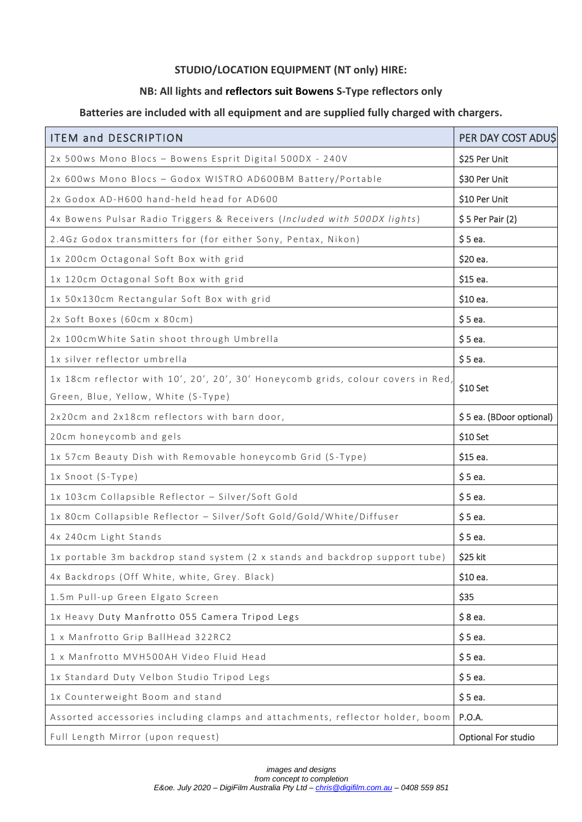## **STUDIO/LOCATION EQUIPMENT (NT only) HIRE:**

### **NB: All lights and reflectors suit Bowens S-Type reflectors only**

### **Batteries are included with all equipment and are supplied fully charged with chargers.**

| <b>ITEM and DESCRIPTION</b>                                                      | PER DAY COST ADUS        |
|----------------------------------------------------------------------------------|--------------------------|
| 2x 500ws Mono Blocs - Bowens Esprit Digital 500DX - 240V                         | \$25 Per Unit            |
| 2x 600ws Mono Blocs - Godox WISTRO AD600BM Battery/Portable                      | \$30 Per Unit            |
| 2x Godox AD-H600 hand-held head for AD600                                        | \$10 Per Unit            |
| 4x Bowens Pulsar Radio Triggers & Receivers (Included with 500DX lights)         | $$5$ Per Pair (2)        |
| 2.4Gz Godox transmitters for (for either Sony, Pentax, Nikon)                    | \$5ea.                   |
| 1x 200cm Octagonal Soft Box with grid                                            | \$20 ea.                 |
| 1x 120cm Octagonal Soft Box with grid                                            | $$15$ ea.                |
| 1x 50x130cm Rectangular Soft Box with grid                                       | \$10 ea.                 |
| 2x Soft Boxes (60cm x 80cm)                                                      | $$5$ ea.                 |
| 2x 100cmWhite Satin shoot through Umbrella                                       | $$5$ ea.                 |
| 1x silver reflector umbrella                                                     | $$5$ ea.                 |
| 1x 18cm reflector with 10', 20', 20', 30' Honeycomb grids, colour covers in Red, | \$10 Set                 |
| Green, Blue, Yellow, White (S-Type)                                              |                          |
| 2x20cm and 2x18cm reflectors with barn door,                                     | \$5 ea. (BDoor optional) |
| 20cm honeycomb and gels                                                          | $$10$ Set                |
| 1x 57cm Beauty Dish with Removable honeycomb Grid (S-Type)                       | \$15 ea.                 |
| 1x Snoot (S-Type)                                                                | $$5$ ea.                 |
| 1x 103cm Collapsible Reflector - Silver/Soft Gold                                | $$5$ ea.                 |
| 1x 80cm Collapsible Reflector - Silver/Soft Gold/Gold/White/Diffuser             | $$5$ ea.                 |
| 4x 240cm Light Stands                                                            | $$5$ ea.                 |
| 1x portable 3m backdrop stand system (2 x stands and backdrop support tube)      | \$25 kit                 |
| 4x Backdrops (Off White, white, Grey. Black)                                     | \$10 ea.                 |
| 1.5m Pull-up Green Elgato Screen                                                 | \$35                     |
| 1x Heavy Duty Manfrotto 055 Camera Tripod Legs                                   | $$8e$ a.                 |
| 1 x Manfrotto Grip BallHead 322RC2                                               | $$5$ ea.                 |
| 1 x Manfrotto MVH500AH Video Fluid Head                                          | $$5$ ea.                 |
| 1x Standard Duty Velbon Studio Tripod Legs                                       | $$5$ ea.                 |
| 1x Counterweight Boom and stand                                                  | $$5$ ea.                 |
| Assorted accessories including clamps and attachments, reflector holder, boom    | P.O.A.                   |
| Full Length Mirror (upon request)                                                | Optional For studio      |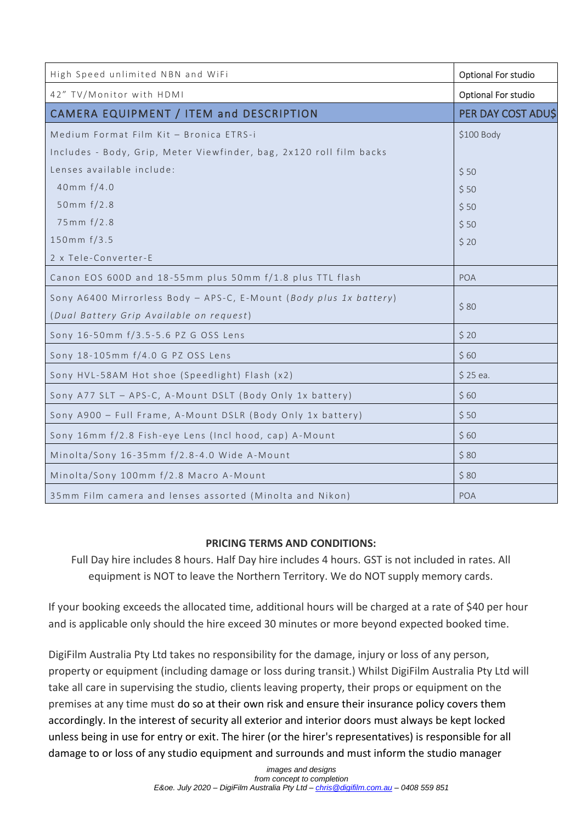| High Speed unlimited NBN and WiFi                                   | Optional For studio |
|---------------------------------------------------------------------|---------------------|
| 42" TV/Monitor with HDMI                                            | Optional For studio |
| CAMERA EQUIPMENT / ITEM and DESCRIPTION                             | PER DAY COST ADU\$  |
| Medium Format Film Kit - Bronica ETRS-i                             | \$100 Body          |
| Includes - Body, Grip, Meter Viewfinder, bag, 2x120 roll film backs |                     |
| Lenses available include:                                           | \$50                |
| 40mm $f/4.0$                                                        | \$50                |
| 50mm $f/2.8$                                                        | \$50                |
| 75mm f/2.8                                                          | \$50                |
| 150mm f/3.5                                                         | \$20                |
| 2 x Tele-Converter-E                                                |                     |
| Canon EOS 600D and 18-55mm plus 50mm f/1.8 plus TTL flash           | POA                 |
| Sony A6400 Mirrorless Body - APS-C, E-Mount (Body plus 1x battery)  |                     |
| (Dual Battery Grip Available on request)                            | \$80                |
| Sony 16-50mm f/3.5-5.6 PZ G OSS Lens                                | \$20                |
| Sony 18-105mm f/4.0 G PZ OSS Lens                                   | \$60                |
| Sony HVL-58AM Hot shoe (Speedlight) Flash (x2)                      | $$25$ ea.           |
| Sony A77 SLT - APS-C, A-Mount DSLT (Body Only 1x battery)           | \$60                |
| Sony A900 - Full Frame, A-Mount DSLR (Body Only 1x battery)         | \$50                |
| Sony 16mm f/2.8 Fish-eye Lens (Incl hood, cap) A-Mount              | \$60                |
| Minolta/Sony 16-35mm f/2.8-4.0 Wide A-Mount                         | \$80                |
| Minolta/Sony 100mm f/2.8 Macro A-Mount                              | \$80                |
| 35mm Film camera and lenses assorted (Minolta and Nikon)            | POA                 |

# **PRICING TERMS AND CONDITIONS:**

Full Day hire includes 8 hours. Half Day hire includes 4 hours. GST is not included in rates. All equipment is NOT to leave the Northern Territory. We do NOT supply memory cards.

If your booking exceeds the allocated time, additional hours will be charged at a rate of \$40 per hour and is applicable only should the hire exceed 30 minutes or more beyond expected booked time.

DigiFilm Australia Pty Ltd takes no responsibility for the damage, injury or loss of any person, property or equipment (including damage or loss during transit.) Whilst DigiFilm Australia Pty Ltd will take all care in supervising the studio, clients leaving property, their props or equipment on the premises at any time must do so at their own risk and ensure their insurance policy covers them accordingly. In the interest of security all exterior and interior doors must always be kept locked unless being in use for entry or exit. The hirer (or the hirer's representatives) is responsible for all damage to or loss of any studio equipment and surrounds and must inform the studio manager